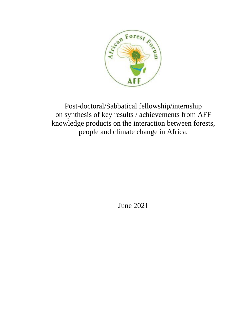

Post-doctoral/Sabbatical fellowship/internship on synthesis of key results / achievements from AFF knowledge products on the interaction between forests, people and climate change in Africa.

June 2021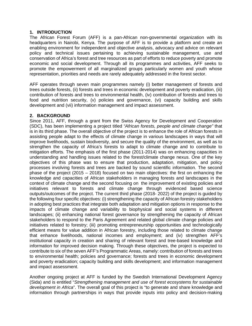### **1. INTRODUCTION**

The African Forest Forum (AFF) is a pan-African non-governmental organization with its headquarters in Nairobi, Kenya. The purpose of AFF is to provide a platform and create an enabling environment for independent and objective analysis, advocacy and advice on relevant policy and technical issues pertaining to achieving sustainable management, use and conservation of Africa's forest and tree resources as part of efforts to reduce poverty and promote economic and social development. Through all its programmes and activities, AFF seeks to promote the empowerment of all marginalized groups particularly women and youth whose representation, priorities and needs are rarely adequately addressed in the forest sector.

AFF operates through seven main programmes namely (i) better management of forests and trees outside forests, (ii) forests and trees in economic development and poverty eradication, (iii) contribution of forests and trees to environmental health, (iv) contribution of forests and trees to food and nutrition security, (v) policies and governance, (vi) capacity building and skills development and (vii) information management and impact assessment.

### **2. BACKGROUND**

Since 2011, AFF, through a grant from the Swiss Agency for Development and Cooperation (SDC), has been implementing a project titled *"African forests, people and climate change"* that is in its third phase. The overall objective of the project is to enhance the role of African forests in assisting people adapt to the effects of climate change in various landscapes in ways that will improve livelihoods, sustain biodiversity, and secure the quality of the environment, as well as to strengthen the capacity of Africa's forests to adapt to climate change and to contribute to mitigation efforts. The emphasis of the first phase (2011-2014) was on enhancing capacities in understanding and handling issues related to the forest/climate change nexus. One of the key objectives of this phase was to ensure that production, adaptation, mitigation, and policy processes involving forests and trees are backed by sound scientific information. The second phase of the project (2015 – 2018) focused on two main objectives: the first on enhancing the knowledge and capacities of African stakeholders in managing forests and landscapes in the context of climate change and the second focusing on the improvement of existing policies and initiatives relevant to forests and climate change through evidenced based science outputs/outcomes of the project. The current third phase (2018- 2022) of the project is guided by the following four specific objectives: (i) strengthening the capacity of African forestry stakeholders in adopting best practices that integrate both adaptation and mitigation options in response to the impacts of climate change and variability to biophysical and social systems in different landscapes; (ii) enhancing national forest governance by strengthening the capacity of African stakeholders to respond to the Paris Agreement and related global climate change policies and initiatives related to forestry; (iii) promoting entrepreneurship opportunities and technologically efficient means for value addition in African forestry, including those related to climate change that enhance livelihoods, national incomes and employment; and (iv) strengthen AFF's institutional capacity in creation and sharing of relevant forest and tree-based knowledge and information for improved decision making. Through these objectives, the project is expected to contribute to six of the seven AFF's Programmatic Areas, namely: contribution of forests and trees to environmental health; policies and governance; forests and trees in economic development and poverty eradication; capacity building and skills development; and information management and impact assessment.

Another ongoing project at AFF is funded by the Swedish International Development Agency (Sida) and is entitled "*Strengthening management and use of forest ecosystems for sustainable development in Africa*". The overall goal of this project is "to generate and share knowledge and information through partnerships in ways that provide inputs into policy and decision-making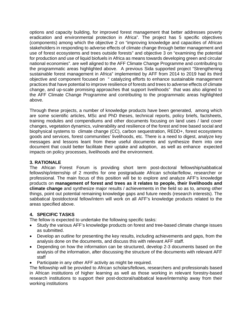options and capacity building, for improved forest management that better addresses poverty eradication and environmental protection in Africa". The project has 5 specific objectives (components) among which the objective 2 on "improving knowledge and capacities of African stakeholders in responding to adverse effects of climate change through better management and use of forest ecosystems and trees outside forests" and objective 3 on "examining the potential for production and use of liquid biofuels in Africa as means towards developing green and circular national economies". are well aligned to the AFF Climate Change Programme and contributing to the programmatic areas highlighted above. A previous Sida supported project "Strengthening sustainable forest management in Africa" implemented by AFF from 2014 to 2019 had its third objective and component focused on " catalyzing efforts to enhance sustainable management practices that have potential to improve resilience of forests and trees to adverse effects of climate change, and up-scale promising approaches that support livelihoods" that was also aligned to the AFF Climate Change Programme and contributing to the programmatic areas highlighted above.

Through these projects, a number of knowledge products have been generated, among which are some scientific articles, MSc and PhD theses, technical reports, policy briefs, factsheets, training modules and compendiums and other documents focusing on land uses / land cover changes, vegetation dynamics, vulnerability and resilience of the forest and tree based social and biophysical systems to climate change (CC), carbon sequestration, REDD+, forest ecosystems goods and services, forest communities' livelihoods, etc. There is a need to digest, analyze key messages and lessons leant from these useful documents and synthesize them into one document that could better facilitate their uptake and adoption, as well as enhance expected impacts on policy processes, livelihoods and the environment.

## **3. RATIONALE**

The African Forest Forum is providing short term post-doctoral fellowship/sabbatical fellowship/internship of 2 months for one postgraduate African scholar/fellow, researcher or professional. The main focus of this position will be to explore and analyze AFF's knowledge products on **management of forest and trees as it relates to people, their livelihoods and climate change** and synthesize major results / achievements in the field so as to, among other things, point out potential remaining knowledge gaps and future needs (research interests). The sabbatical /postdoctoral fellow/intern will work on all AFF's knowledge products related to the areas specified above.

### **4. SPECIFIC TASKS**

The fellow is expected to undertake the following specific tasks:

- Study the various AFF's knowledge products on forest and tree-based climate change issues as submitted.
- Develop an outline for presenting the key results, including achievements and gaps, from the analysis done on the documents, and discuss this with relevant AFF staff.
- Depending on how the information can be structured, develop 2-3 documents based on the analysis of the information, after discussing the structure of the documents with relevant AFF staff
- Participate in any other AFF activity as might be required.

The fellowship will be provided to African scholars/fellows, researchers and professionals based in African institutions of higher learning as well as those working in relevant forestry-based research institutions to support their post-doctoral/sabbatical leave/internship away from their working institutions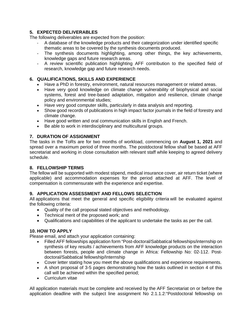# **5. EXPECTED DELIVERABLES**

The following deliverables are expected from the position:

- A database of the knowledge products and their categorization under identified specific thematic areas to be covered by the synthesis documents produced.
- The synthesis documents highlighting, among other things, the key achievements, knowledge gaps and future research areas.
- A review scientific publication highlighting AFF contribution to the specified field of research, knowledge gap and future research needs.

# **6. QUALIFICATIONS, SKILLS AND EXPERIENCE**

- Have a PhD in forestry, environment, natural resources management or related areas.
- Have very good knowledge on climate change vulnerability of biophysical and social systems, forest and tree-based adaptation, mitigation and resilience, climate change policy and environmental studies;
- Have very good computer skills, particularly in data analysis and reporting.
- Show good records of publications in high impact factor journals in the field of forestry and climate change.
- Have good written and oral communication skills in English and French.
- Be able to work in interdisciplinary and multicultural groups.

# **7. DURATION OF ASSIGNMENT**

The tasks in the ToRs are for two months of workload, commencing on **August 1, 2021** and spread over a maximum period of three months. The postdoctoral fellow shall be based at AFF secretariat and working in close consultation with relevant staff while keeping to agreed delivery schedule.

### **8. FELLOWSHIP TERMS**

The fellow will be supported with modest stipend, medical insurance cover, air return ticket (where applicable) and accommodation expenses for the period attached at AFF. The level of compensation is commensurate with the experience and expertise.

### **9. APPLICATION ASSESSMENT AND FELLOWS SELECTION**

All applications that meet the general and specific eligibility criteria will be evaluated against the following criteria:

- Quality of the call proposal stated objectives and methodology.
- Technical merit of the proposed work; and
- Qualifications and capabilities of the applicant to undertake the tasks as per the call.

# **10. HOW TO APPLY**

Please email, and attach your application containing:

- Filled AFF fellowships application form "Post-doctoral/Sabbatical fellowships/internship on synthesis of key results / achievements from AFF knowledge products on the interaction between forests, people and climate change in Africa: Fellowship No: 02-112. Postdoctoral/Sabbatical fellowship/Internship
- Cover letter stating how you meet the above qualifications and experience requirements.
- A short proposal of 3-5 pages demonstrating how the tasks outlined in section 4 of this call will be achieved within the specified period;
- Curriculum vitae

All application materials must be complete and received by the AFF Secretariat on or before the application deadline with the subject line assignment No 2.1.1.2:"Postdoctoral fellowship on